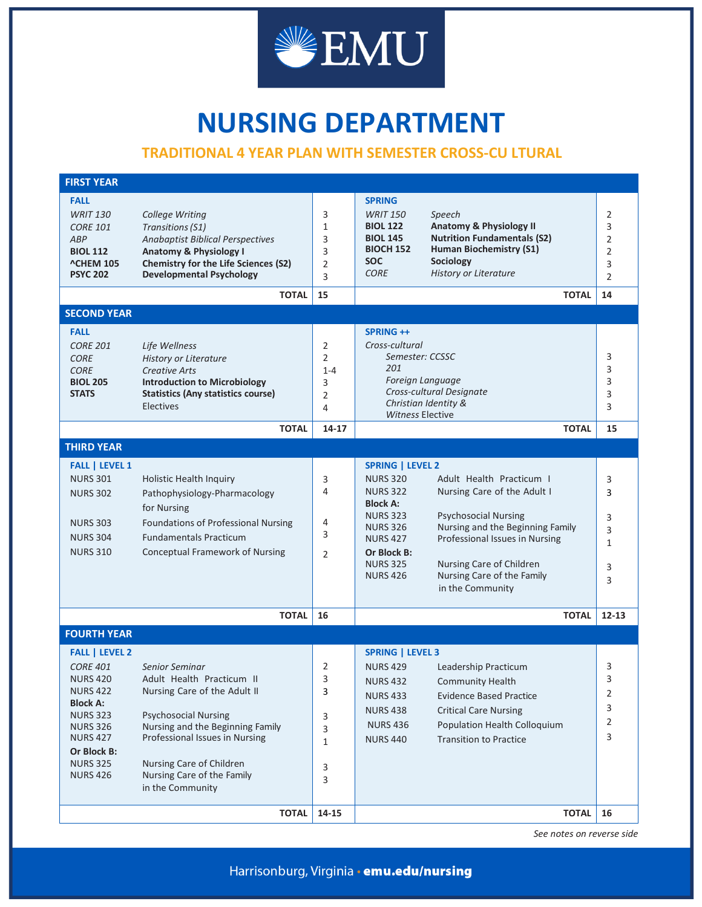

## **NURSING DEPARTMENT**

## **TRADITIONAL 4 YEAR PLAN WITH SEMESTER CROSS-CU LTURAL**

| <b>FIRST YEAR</b>                                                                                                                                                                                               |                                                                                                                                                                                                                                                                |                                                            |                                                                                                                                                                                                |                                                                                                                                                                                                                                            |                                                                         |
|-----------------------------------------------------------------------------------------------------------------------------------------------------------------------------------------------------------------|----------------------------------------------------------------------------------------------------------------------------------------------------------------------------------------------------------------------------------------------------------------|------------------------------------------------------------|------------------------------------------------------------------------------------------------------------------------------------------------------------------------------------------------|--------------------------------------------------------------------------------------------------------------------------------------------------------------------------------------------------------------------------------------------|-------------------------------------------------------------------------|
| <b>FALL</b><br><b>WRIT 130</b><br><b>CORE 101</b><br>ABP<br><b>BIOL 112</b><br><b>^CHEM 105</b><br><b>PSYC 202</b>                                                                                              | College Writing<br><b>Transitions (S1)</b><br><b>Anabaptist Biblical Perspectives</b><br><b>Anatomy &amp; Physiology I</b><br><b>Chemistry for the Life Sciences (S2)</b><br><b>Developmental Psychology</b><br><b>TOTAL</b>                                   | 3<br>1<br>3<br>3<br>$\overline{2}$<br>3<br>15              | <b>SPRING</b><br><b>WRIT 150</b><br><b>BIOL 122</b><br><b>BIOL 145</b><br><b>BIOCH 152</b><br><b>SOC</b><br><b>CORE</b>                                                                        | Speech<br><b>Anatomy &amp; Physiology II</b><br><b>Nutrition Fundamentals (S2)</b><br><b>Human Biochemistry (S1)</b><br>Sociology<br><b>History or Literature</b>                                                                          | 2<br>3<br>$\overline{2}$<br>$\overline{2}$<br>3<br>$\overline{2}$<br>14 |
| <b>SECOND YEAR</b>                                                                                                                                                                                              |                                                                                                                                                                                                                                                                |                                                            |                                                                                                                                                                                                | <b>TOTAL</b>                                                                                                                                                                                                                               |                                                                         |
|                                                                                                                                                                                                                 |                                                                                                                                                                                                                                                                |                                                            |                                                                                                                                                                                                |                                                                                                                                                                                                                                            |                                                                         |
| <b>FALL</b><br><b>CORE 201</b><br><b>CORE</b><br><b>CORE</b><br><b>BIOL 205</b><br><b>STATS</b>                                                                                                                 | Life Wellness<br><b>History or Literature</b><br><b>Creative Arts</b><br><b>Introduction to Microbiology</b><br><b>Statistics (Any statistics course)</b><br><b>Electives</b>                                                                                  | 2<br>$\overline{2}$<br>$1 - 4$<br>3<br>$\overline{2}$<br>4 | <b>SPRING ++</b><br>Cross-cultural<br>Semester: CCSSC<br>201<br>Foreign Language<br>Cross-cultural Designate<br>Christian Identity &<br><b>Witness Elective</b>                                |                                                                                                                                                                                                                                            | 3<br>3<br>3<br>3<br>3                                                   |
|                                                                                                                                                                                                                 | <b>TOTAL</b>                                                                                                                                                                                                                                                   | 14-17                                                      |                                                                                                                                                                                                | <b>TOTAL</b>                                                                                                                                                                                                                               | 15                                                                      |
| <b>THIRD YEAR</b>                                                                                                                                                                                               |                                                                                                                                                                                                                                                                |                                                            |                                                                                                                                                                                                |                                                                                                                                                                                                                                            |                                                                         |
| <b>FALL   LEVEL 1</b><br><b>NURS 301</b><br><b>NURS 302</b><br><b>NURS 303</b><br><b>NURS 304</b><br><b>NURS 310</b>                                                                                            | Holistic Health Inquiry<br>Pathophysiology-Pharmacology<br>for Nursing<br>Foundations of Professional Nursing<br><b>Fundamentals Practicum</b><br><b>Conceptual Framework of Nursing</b>                                                                       | 3<br>4<br>4<br>3<br>$\overline{2}$                         | <b>SPRING   LEVEL 2</b><br><b>NURS 320</b><br><b>NURS 322</b><br><b>Block A:</b><br><b>NURS 323</b><br><b>NURS 326</b><br><b>NURS 427</b><br>Or Block B:<br><b>NURS 325</b><br><b>NURS 426</b> | Adult Health Practicum I<br>Nursing Care of the Adult I<br><b>Psychosocial Nursing</b><br>Nursing and the Beginning Family<br>Professional Issues in Nursing<br>Nursing Care of Children<br>Nursing Care of the Family<br>in the Community | 3<br>3<br>3<br>3<br>$\mathbf{1}$<br>3<br>3                              |
|                                                                                                                                                                                                                 | <b>TOTAL</b>                                                                                                                                                                                                                                                   | 16                                                         |                                                                                                                                                                                                | <b>TOTAL</b>                                                                                                                                                                                                                               | $12 - 13$                                                               |
| <b>FOURTH YEAR</b>                                                                                                                                                                                              |                                                                                                                                                                                                                                                                |                                                            |                                                                                                                                                                                                |                                                                                                                                                                                                                                            |                                                                         |
| <b>FALL   LEVEL 2</b><br><b>CORE 401</b><br><b>NURS 420</b><br><b>NURS 422</b><br><b>Block A:</b><br><b>NURS 323</b><br><b>NURS 326</b><br><b>NURS 427</b><br>Or Block B:<br><b>NURS 325</b><br><b>NURS 426</b> | Senior Seminar<br>Adult Health Practicum II<br>Nursing Care of the Adult II<br><b>Psychosocial Nursing</b><br>Nursing and the Beginning Family<br>Professional Issues in Nursing<br>Nursing Care of Children<br>Nursing Care of the Family<br>in the Community | 2<br>3<br>3<br>3<br>3<br>$\mathbf{1}$<br>3<br>3            | <b>SPRING   LEVEL 3</b><br><b>NURS 429</b><br><b>NURS 432</b><br><b>NURS 433</b><br><b>NURS 438</b><br><b>NURS 436</b><br><b>NURS 440</b>                                                      | Leadership Practicum<br><b>Community Health</b><br><b>Evidence Based Practice</b><br><b>Critical Care Nursing</b><br>Population Health Colloquium<br><b>Transition to Practice</b>                                                         | 3<br>3<br>2<br>3<br>2<br>3                                              |
|                                                                                                                                                                                                                 | <b>TOTAL</b>                                                                                                                                                                                                                                                   | 14-15                                                      |                                                                                                                                                                                                | <b>TOTAL</b>                                                                                                                                                                                                                               | 16                                                                      |

*See notes on reverse side*